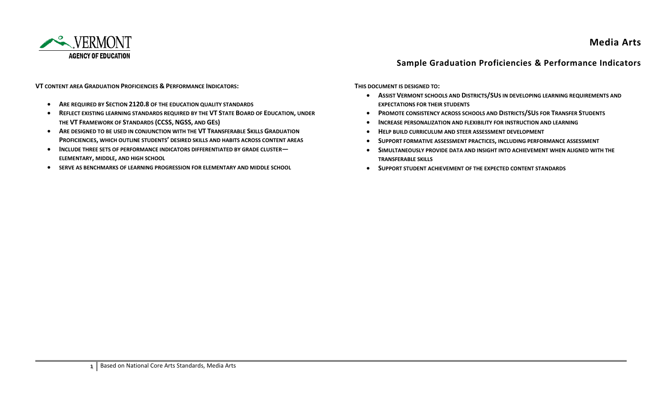

## **Media Arts**

## **Sample Graduation Proficiencies & Performance Indicators**

**VT CONTENT AREA GRADUATION PROFICIENCIES & PERFORMANCE INDICATORS:**

- **ARE REQUIRED BY SECTION 2120.8 OF THE EDUCATION QUALITY STANDARDS**
- **REFLECT EXISTING LEARNING STANDARDS REQUIRED BY THE VT STATE BOARD OF EDUCATION, UNDER THE VT FRAMEWORK OF STANDARDS (CCSS, NGSS, AND GES)**
- **ARE DESIGNED TO BE USED IN CONJUNCTION WITH THE VT TRANSFERABLE SKILLS GRADUATION PROFICIENCIES, WHICH OUTLINE STUDENTS' DESIRED SKILLS AND HABITS ACROSS CONTENT AREAS**
- **INCLUDE THREE SETS OF PERFORMANCE INDICATORS DIFFERENTIATED BY GRADE CLUSTER— ELEMENTARY, MIDDLE, AND HIGH SCHOOL**
- **SERVE AS BENCHMARKS OF LEARNING PROGRESSION FOR ELEMENTARY AND MIDDLE SCHOOL**

**THIS DOCUMENT IS DESIGNED TO:**

- **ASSIST VERMONT SCHOOLS AND DISTRICTS/SUS IN DEVELOPING LEARNING REQUIREMENTS AND EXPECTATIONS FOR THEIR STUDENTS**
- **PROMOTE CONSISTENCY ACROSS SCHOOLS AND DISTRICTS/SUS FOR TRANSFER STUDENTS**
- **•** INCREASE PERSONALIZATION AND FLEXIBILITY FOR INSTRUCTION AND LEARNING
- **HELP BUILD CURRICULUM AND STEER ASSESSMENT DEVELOPMENT**
- **SUPPORT FORMATIVE ASSESSMENT PRACTICES, INCLUDING PERFORMANCE ASSESSMENT**
- **SIMULTANEOUSLY PROVIDE DATA AND INSIGHT INTO ACHIEVEMENT WHEN ALIGNED WITH THE TRANSFERABLE SKILLS**
- **SUPPORT STUDENT ACHIEVEMENT OF THE EXPECTED CONTENT STANDARDS**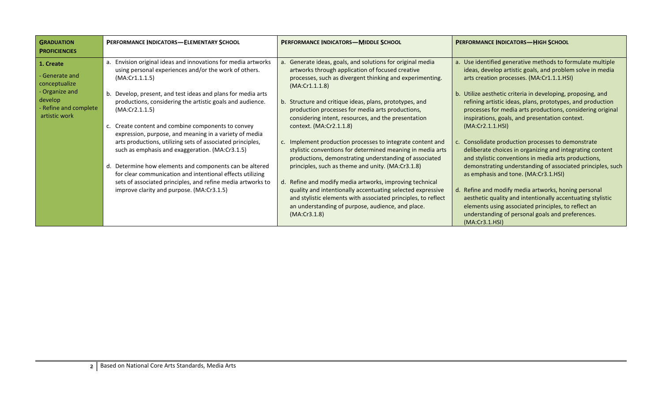| <b>GRADUATION</b><br><b>PROFICIENCIES</b>                                                                           | <b>PERFORMANCE INDICATORS-ELEMENTARY SCHOOL</b>                                                                                                                                                                                                                                                                                                                                                                                                                                                                                                                                                                                                                                                                                                                 | <b>PERFORMANCE INDICATORS-MIDDLE SCHOOL</b>                                                                                                                                                                                                                                                                                                                                                                                                                                                                                                                                                                                                                                                                                                                                                                                                                                                                    | <b>PERFORMANCE INDICATORS-HIGH SCHOOL</b>                                                                                                                                                                                                                                                                                                                                                                                                                                                                                                                                                                                                                                                                                                                                                                                                                                                                                                              |
|---------------------------------------------------------------------------------------------------------------------|-----------------------------------------------------------------------------------------------------------------------------------------------------------------------------------------------------------------------------------------------------------------------------------------------------------------------------------------------------------------------------------------------------------------------------------------------------------------------------------------------------------------------------------------------------------------------------------------------------------------------------------------------------------------------------------------------------------------------------------------------------------------|----------------------------------------------------------------------------------------------------------------------------------------------------------------------------------------------------------------------------------------------------------------------------------------------------------------------------------------------------------------------------------------------------------------------------------------------------------------------------------------------------------------------------------------------------------------------------------------------------------------------------------------------------------------------------------------------------------------------------------------------------------------------------------------------------------------------------------------------------------------------------------------------------------------|--------------------------------------------------------------------------------------------------------------------------------------------------------------------------------------------------------------------------------------------------------------------------------------------------------------------------------------------------------------------------------------------------------------------------------------------------------------------------------------------------------------------------------------------------------------------------------------------------------------------------------------------------------------------------------------------------------------------------------------------------------------------------------------------------------------------------------------------------------------------------------------------------------------------------------------------------------|
| 1. Create<br>- Generate and<br>conceptualize<br>- Organize and<br>develop<br>- Refine and complete<br>artistic work | a. Envision original ideas and innovations for media artworks<br>using personal experiences and/or the work of others.<br>(MA:Cr1.1.1.5)<br>Develop, present, and test ideas and plans for media arts<br>b.<br>productions, considering the artistic goals and audience.<br>(MA:Cr2.1.1.5)<br>c. Create content and combine components to convey<br>expression, purpose, and meaning in a variety of media<br>arts productions, utilizing sets of associated principles,<br>such as emphasis and exaggeration. (MA:Cr3.1.5)<br>d. Determine how elements and components can be altered<br>for clear communication and intentional effects utilizing<br>sets of associated principles, and refine media artworks to<br>improve clarity and purpose. (MA:Cr3.1.5) | Generate ideas, goals, and solutions for original media<br>a.<br>artworks through application of focused creative<br>processes, such as divergent thinking and experimenting.<br>(MA:Cr1.1.1.8)<br>b. Structure and critique ideas, plans, prototypes, and<br>production processes for media arts productions,<br>considering intent, resources, and the presentation<br>context. (MA:Cr2.1.1.8)<br>c. Implement production processes to integrate content and<br>stylistic conventions for determined meaning in media arts<br>productions, demonstrating understanding of associated<br>principles, such as theme and unity. (MA:Cr3.1.8)<br>Refine and modify media artworks, improving technical<br>d.<br>quality and intentionally accentuating selected expressive<br>and stylistic elements with associated principles, to reflect<br>an understanding of purpose, audience, and place.<br>(MA:Cr3.1.8) | a. Use identified generative methods to formulate multiple<br>ideas, develop artistic goals, and problem solve in media<br>arts creation processes. (MA:Cr1.1.1.HSI)<br>b. Utilize aesthetic criteria in developing, proposing, and<br>refining artistic ideas, plans, prototypes, and production<br>processes for media arts productions, considering original<br>inspirations, goals, and presentation context.<br>(MA:Cr2.1.1.HSI)<br>Consolidate production processes to demonstrate<br>c.<br>deliberate choices in organizing and integrating content<br>and stylistic conventions in media arts productions,<br>demonstrating understanding of associated principles, such<br>as emphasis and tone. (MA:Cr3.1.HSI)<br>Refine and modify media artworks, honing personal<br>aesthetic quality and intentionally accentuating stylistic<br>elements using associated principles, to reflect an<br>understanding of personal goals and preferences. |
|                                                                                                                     |                                                                                                                                                                                                                                                                                                                                                                                                                                                                                                                                                                                                                                                                                                                                                                 |                                                                                                                                                                                                                                                                                                                                                                                                                                                                                                                                                                                                                                                                                                                                                                                                                                                                                                                | (MA:Cr3.1.HSI)                                                                                                                                                                                                                                                                                                                                                                                                                                                                                                                                                                                                                                                                                                                                                                                                                                                                                                                                         |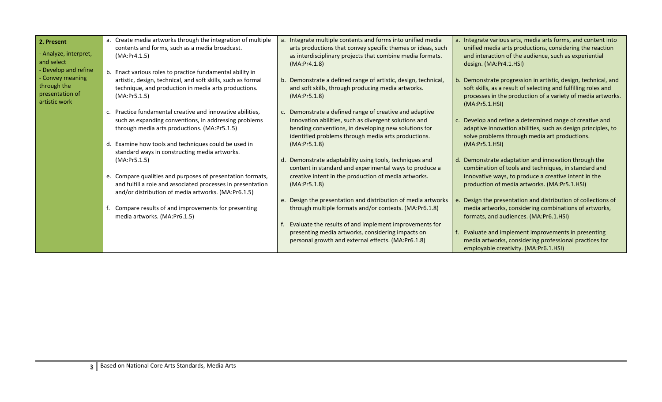| 2. Present                                                          | a. Create media artworks through the integration of multiple                                                                                                                                      | a. Integrate multiple contents and forms into unified media                                                                                                                                                                  | a. Integrate various arts, media arts forms, and content into                                                                                                                                                     |
|---------------------------------------------------------------------|---------------------------------------------------------------------------------------------------------------------------------------------------------------------------------------------------|------------------------------------------------------------------------------------------------------------------------------------------------------------------------------------------------------------------------------|-------------------------------------------------------------------------------------------------------------------------------------------------------------------------------------------------------------------|
| - Analyze, interpret,<br>and select<br>- Develop and refine         | contents and forms, such as a media broadcast.<br>(MA:Pr4.1.5)                                                                                                                                    | arts productions that convey specific themes or ideas, such<br>as interdisciplinary projects that combine media formats.<br>(MA:Pr4.1.8)                                                                                     | unified media arts productions, considering the reaction<br>and interaction of the audience, such as experiential<br>design. (MA:Pr4.1.HSI)                                                                       |
| - Convey meaning<br>through the<br>presentation of<br>artistic work | b. Enact various roles to practice fundamental ability in<br>artistic, design, technical, and soft skills, such as formal<br>technique, and production in media arts productions.<br>(MA:Pr5.1.5) | b. Demonstrate a defined range of artistic, design, technical,<br>and soft skills, through producing media artworks.<br>(MA:Pr5.1.8)                                                                                         | b. Demonstrate progression in artistic, design, technical, and<br>soft skills, as a result of selecting and fulfilling roles and<br>processes in the production of a variety of media artworks.<br>(MA:Pr5.1.HSI) |
|                                                                     | c. Practice fundamental creative and innovative abilities,<br>such as expanding conventions, in addressing problems<br>through media arts productions. (MA:Pr5.1.5)                               | Demonstrate a defined range of creative and adaptive<br>innovation abilities, such as divergent solutions and<br>bending conventions, in developing new solutions for<br>identified problems through media arts productions. | c. Develop and refine a determined range of creative and<br>adaptive innovation abilities, such as design principles, to<br>solve problems through media art productions.                                         |
|                                                                     | d. Examine how tools and techniques could be used in<br>standard ways in constructing media artworks.<br>(MA:Pr5.1.5)                                                                             | (MA:Pr5.1.8)<br>Demonstrate adaptability using tools, techniques and<br>content in standard and experimental ways to produce a                                                                                               | (MA:Pr5.1.HSI)<br>d. Demonstrate adaptation and innovation through the<br>combination of tools and techniques, in standard and                                                                                    |
|                                                                     | e. Compare qualities and purposes of presentation formats,<br>and fulfill a role and associated processes in presentation<br>and/or distribution of media artworks. (MA:Pr6.1.5)                  | creative intent in the production of media artworks.<br>(MA:Pr5.1.8)                                                                                                                                                         | innovative ways, to produce a creative intent in the<br>production of media artworks. (MA:Pr5.1.HSI)                                                                                                              |
|                                                                     | Compare results of and improvements for presenting<br>media artworks. (MA:Pr6.1.5)                                                                                                                | e. Design the presentation and distribution of media artworks<br>through multiple formats and/or contexts. (MA:Pr6.1.8)                                                                                                      | e. Design the presentation and distribution of collections of<br>media artworks, considering combinations of artworks,<br>formats, and audiences. (MA:Pr6.1.HSI)                                                  |
|                                                                     |                                                                                                                                                                                                   | Evaluate the results of and implement improvements for<br>presenting media artworks, considering impacts on<br>personal growth and external effects. (MA:Pr6.1.8)                                                            | Evaluate and implement improvements in presenting<br>media artworks, considering professional practices for<br>employable creativity. (MA:Pr6.1.HSI)                                                              |